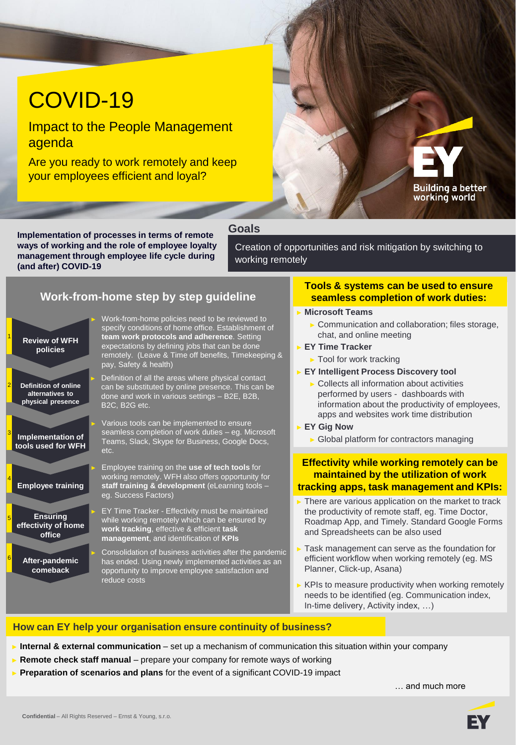# COVID-19

Impact to the People Management agenda

Are you ready to work remotely and keep your employees efficient and loyal?



#### **Goals**

<sub>ne pandemic</sub>

**Implementation of processes in terms of remote ways of working and the role of employee loyalty management through employee life cycle during (and after) COVID-19**

Creation of opportunities and risk mitigation by switching to working remotely

### **Work-from-home step by step guideline**

| <b>Review of WFH</b><br>policies                                    | Work-from-home policies need to be reviewed to<br>specify conditions of home office. Establishment of<br>team work protocols and adherence. Setting<br>expectations by defining jobs that can be done<br>remotely. (Leave & Time off benefits, Timekeeping &<br>pay, Safety & health) |
|---------------------------------------------------------------------|---------------------------------------------------------------------------------------------------------------------------------------------------------------------------------------------------------------------------------------------------------------------------------------|
| <b>Definition of online</b><br>alternatives to<br>physical presence | Definition of all the areas where physical contact<br>can be substituted by online presence. This can be<br>done and work in various settings - B2E, B2B,<br>B2C, B2G etc.                                                                                                            |
| <b>Implementation of</b><br>tools used for WFH                      | Various tools can be implemented to ensure<br>seamless completion of work duties - eg. Microsoft<br>Teams, Slack, Skype for Business, Google Docs,<br>etc.                                                                                                                            |
| <b>Employee training</b>                                            | Employee training on the use of tech tools for<br>working remotely. WFH also offers opportunity for<br>staff training & development (eLearning tools -<br>eg. Success Factors)                                                                                                        |
| Ы<br><b>Ensuring</b><br>effectivity of home<br>office               | EY Time Tracker - Effectivity must be maintained<br>while working remotely which can be ensured by<br>work tracking, effective & efficient task<br>management, and identification of KPIs                                                                                             |
| After-pandemic<br>comeback                                          | Consolidation of business activities after the pandemi-<br>has ended. Using newly implemented activities as an<br>opportunity to improve employee satisfaction and<br>reduce costs                                                                                                    |

3

2

1

5

6

4

#### **Tools & systems can be used to ensure seamless completion of work duties:**

#### ► **Microsoft Teams**

- ► Communication and collaboration; files storage, chat, and online meeting
- ► **EY Time Tracker**
	- ► Tool for work tracking
- ► **EY Intelligent Process Discovery tool**
	- ► Collects all information about activities performed by users - dashboards with information about the productivity of employees, apps and websites work time distribution
- ► **EY Gig Now**
	- ► Global platform for contractors managing

#### **Effectivity while working remotely can be maintained by the utilization of work tracking apps, task management and KPIs:**

- There are various application on the market to track the productivity of remote staff, eg. Time Doctor, Roadmap App, and Timely. Standard Google Forms and Spreadsheets can be also used
- Task management can serve as the foundation for efficient workflow when working remotely (eg. MS Planner, Click-up, Asana)
- $\triangleright$  KPIs to measure productivity when working remotely needs to be identified (eg. Communication index, In-time delivery, Activity index, …)

#### **How can EY help your organisation ensure continuity of business?**

**Internal & external communication** – set up a mechanism of communication this situation within your company

- **Remote check staff manual** prepare your company for remote ways of working
- ► **Preparation of scenarios and plans** for the event of a significant COVID-19 impact

… and much more